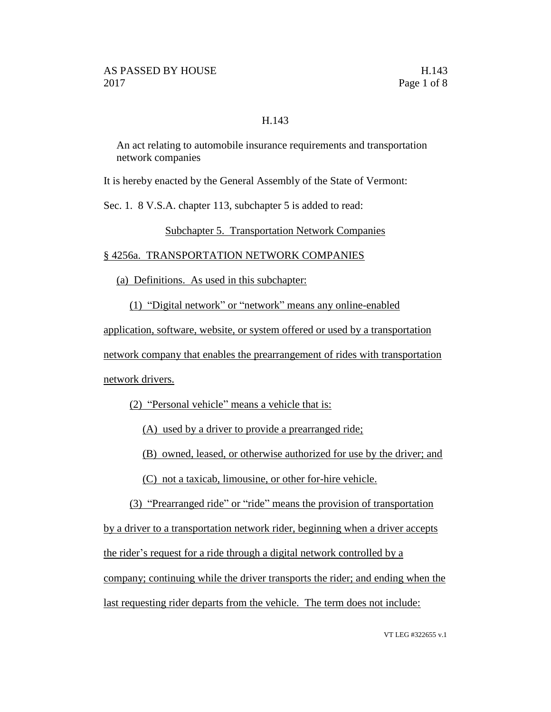## H.143

An act relating to automobile insurance requirements and transportation network companies

It is hereby enacted by the General Assembly of the State of Vermont:

Sec. 1. 8 V.S.A. chapter 113, subchapter 5 is added to read:

## Subchapter 5. Transportation Network Companies

## § 4256a. TRANSPORTATION NETWORK COMPANIES

(a) Definitions. As used in this subchapter:

(1) "Digital network" or "network" means any online-enabled

application, software, website, or system offered or used by a transportation

network company that enables the prearrangement of rides with transportation network drivers.

(2) "Personal vehicle" means a vehicle that is:

(A) used by a driver to provide a prearranged ride;

(B) owned, leased, or otherwise authorized for use by the driver; and

(C) not a taxicab, limousine, or other for-hire vehicle.

(3) "Prearranged ride" or "ride" means the provision of transportation

by a driver to a transportation network rider, beginning when a driver accepts

the rider's request for a ride through a digital network controlled by a

company; continuing while the driver transports the rider; and ending when the

last requesting rider departs from the vehicle. The term does not include: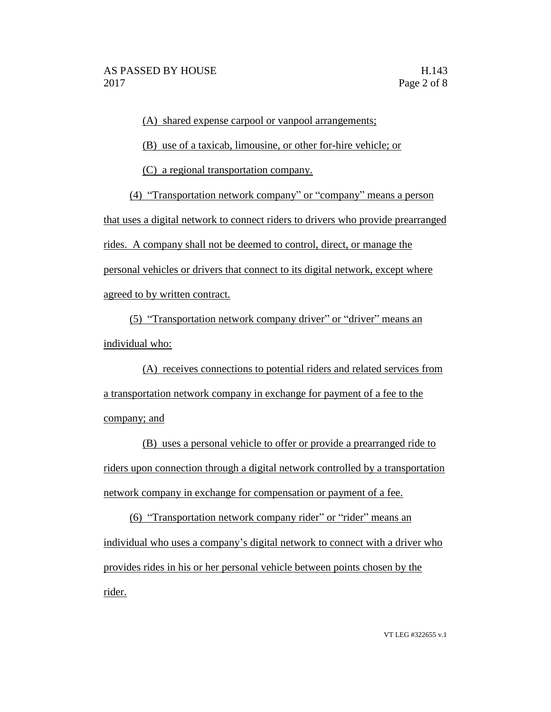(A) shared expense carpool or vanpool arrangements;

(B) use of a taxicab, limousine, or other for-hire vehicle; or

(C) a regional transportation company.

(4) "Transportation network company" or "company" means a person that uses a digital network to connect riders to drivers who provide prearranged rides. A company shall not be deemed to control, direct, or manage the personal vehicles or drivers that connect to its digital network, except where agreed to by written contract.

(5) "Transportation network company driver" or "driver" means an individual who:

(A) receives connections to potential riders and related services from a transportation network company in exchange for payment of a fee to the company; and

(B) uses a personal vehicle to offer or provide a prearranged ride to riders upon connection through a digital network controlled by a transportation network company in exchange for compensation or payment of a fee.

(6) "Transportation network company rider" or "rider" means an individual who uses a company's digital network to connect with a driver who provides rides in his or her personal vehicle between points chosen by the rider.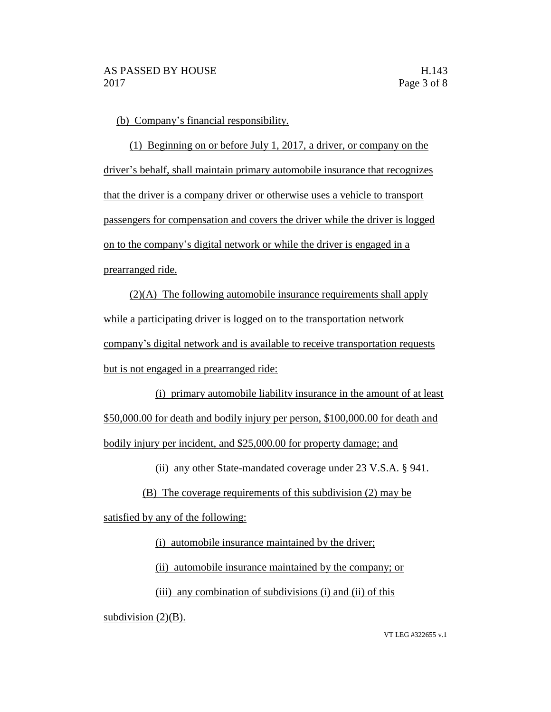(b) Company's financial responsibility.

(1) Beginning on or before July 1, 2017, a driver, or company on the driver's behalf, shall maintain primary automobile insurance that recognizes that the driver is a company driver or otherwise uses a vehicle to transport passengers for compensation and covers the driver while the driver is logged on to the company's digital network or while the driver is engaged in a prearranged ride.

(2)(A) The following automobile insurance requirements shall apply while a participating driver is logged on to the transportation network company's digital network and is available to receive transportation requests but is not engaged in a prearranged ride:

(i) primary automobile liability insurance in the amount of at least \$50,000.00 for death and bodily injury per person, \$100,000.00 for death and bodily injury per incident, and \$25,000.00 for property damage; and

(ii) any other State-mandated coverage under 23 V.S.A. § 941.

(B) The coverage requirements of this subdivision (2) may be satisfied by any of the following:

(i) automobile insurance maintained by the driver;

(ii) automobile insurance maintained by the company; or

(iii) any combination of subdivisions (i) and (ii) of this

subdivision  $(2)(B)$ .

VT LEG #322655 v.1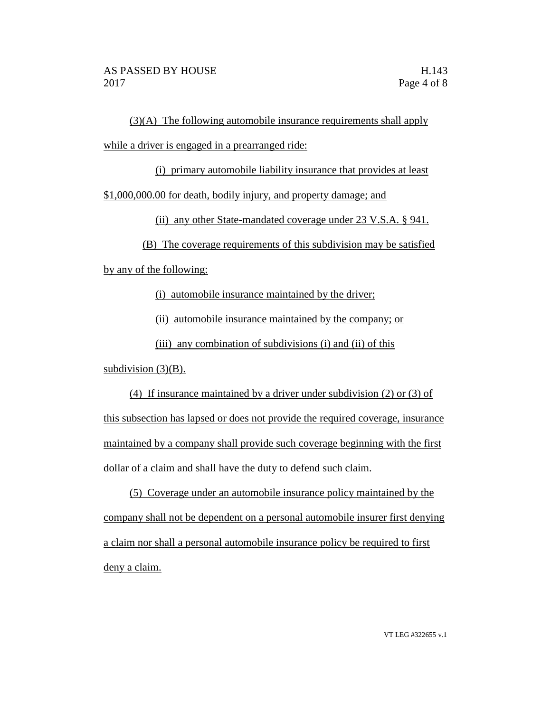(3)(A) The following automobile insurance requirements shall apply while a driver is engaged in a prearranged ride:

(i) primary automobile liability insurance that provides at least

\$1,000,000.00 for death, bodily injury, and property damage; and

(ii) any other State-mandated coverage under 23 V.S.A. § 941.

(B) The coverage requirements of this subdivision may be satisfied

by any of the following:

(i) automobile insurance maintained by the driver;

(ii) automobile insurance maintained by the company; or

(iii) any combination of subdivisions (i) and (ii) of this

subdivision  $(3)(B)$ .

(4) If insurance maintained by a driver under subdivision (2) or (3) of this subsection has lapsed or does not provide the required coverage, insurance maintained by a company shall provide such coverage beginning with the first dollar of a claim and shall have the duty to defend such claim.

(5) Coverage under an automobile insurance policy maintained by the company shall not be dependent on a personal automobile insurer first denying a claim nor shall a personal automobile insurance policy be required to first deny a claim.

VT LEG #322655 v.1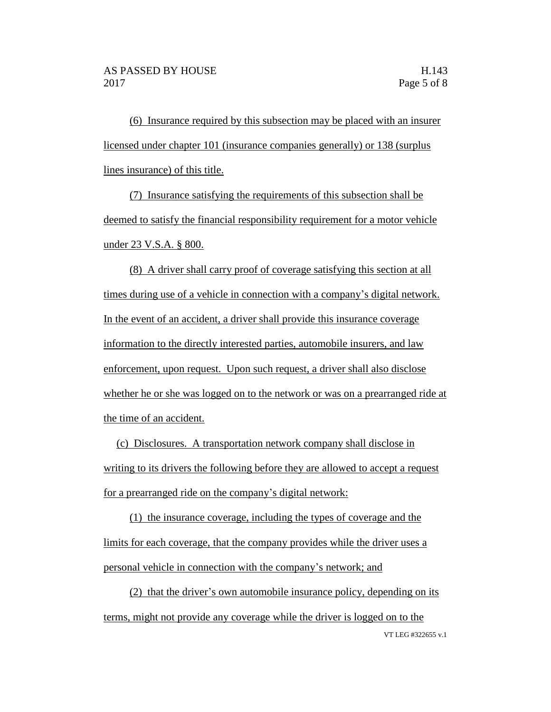(6) Insurance required by this subsection may be placed with an insurer licensed under chapter 101 (insurance companies generally) or 138 (surplus lines insurance) of this title.

(7) Insurance satisfying the requirements of this subsection shall be deemed to satisfy the financial responsibility requirement for a motor vehicle under 23 V.S.A. § 800.

(8) A driver shall carry proof of coverage satisfying this section at all times during use of a vehicle in connection with a company's digital network. In the event of an accident, a driver shall provide this insurance coverage information to the directly interested parties, automobile insurers, and law enforcement, upon request. Upon such request, a driver shall also disclose whether he or she was logged on to the network or was on a prearranged ride at the time of an accident.

(c) Disclosures. A transportation network company shall disclose in writing to its drivers the following before they are allowed to accept a request for a prearranged ride on the company's digital network:

(1) the insurance coverage, including the types of coverage and the limits for each coverage, that the company provides while the driver uses a personal vehicle in connection with the company's network; and

VT LEG #322655 v.1 (2) that the driver's own automobile insurance policy, depending on its terms, might not provide any coverage while the driver is logged on to the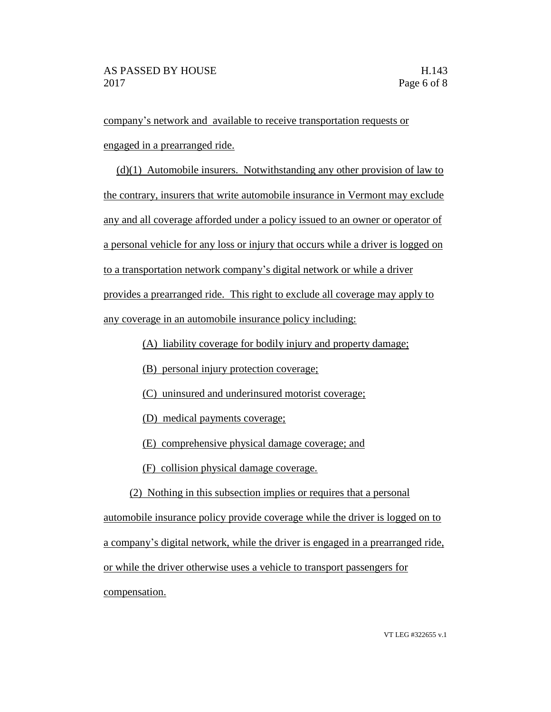company's network and available to receive transportation requests or engaged in a prearranged ride.

(d)(1) Automobile insurers. Notwithstanding any other provision of law to the contrary, insurers that write automobile insurance in Vermont may exclude any and all coverage afforded under a policy issued to an owner or operator of a personal vehicle for any loss or injury that occurs while a driver is logged on to a transportation network company's digital network or while a driver provides a prearranged ride. This right to exclude all coverage may apply to any coverage in an automobile insurance policy including:

(A) liability coverage for bodily injury and property damage;

(B) personal injury protection coverage;

(C) uninsured and underinsured motorist coverage;

(D) medical payments coverage;

(E) comprehensive physical damage coverage; and

(F) collision physical damage coverage.

(2) Nothing in this subsection implies or requires that a personal

automobile insurance policy provide coverage while the driver is logged on to a company's digital network, while the driver is engaged in a prearranged ride, or while the driver otherwise uses a vehicle to transport passengers for compensation.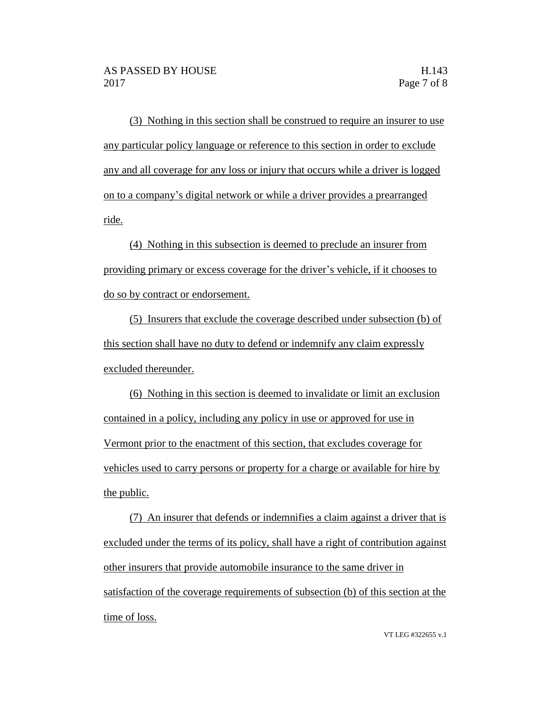(3) Nothing in this section shall be construed to require an insurer to use any particular policy language or reference to this section in order to exclude any and all coverage for any loss or injury that occurs while a driver is logged on to a company's digital network or while a driver provides a prearranged ride.

(4) Nothing in this subsection is deemed to preclude an insurer from providing primary or excess coverage for the driver's vehicle, if it chooses to do so by contract or endorsement.

(5) Insurers that exclude the coverage described under subsection (b) of this section shall have no duty to defend or indemnify any claim expressly excluded thereunder.

(6) Nothing in this section is deemed to invalidate or limit an exclusion contained in a policy, including any policy in use or approved for use in Vermont prior to the enactment of this section, that excludes coverage for vehicles used to carry persons or property for a charge or available for hire by the public.

(7) An insurer that defends or indemnifies a claim against a driver that is excluded under the terms of its policy, shall have a right of contribution against other insurers that provide automobile insurance to the same driver in satisfaction of the coverage requirements of subsection (b) of this section at the time of loss.